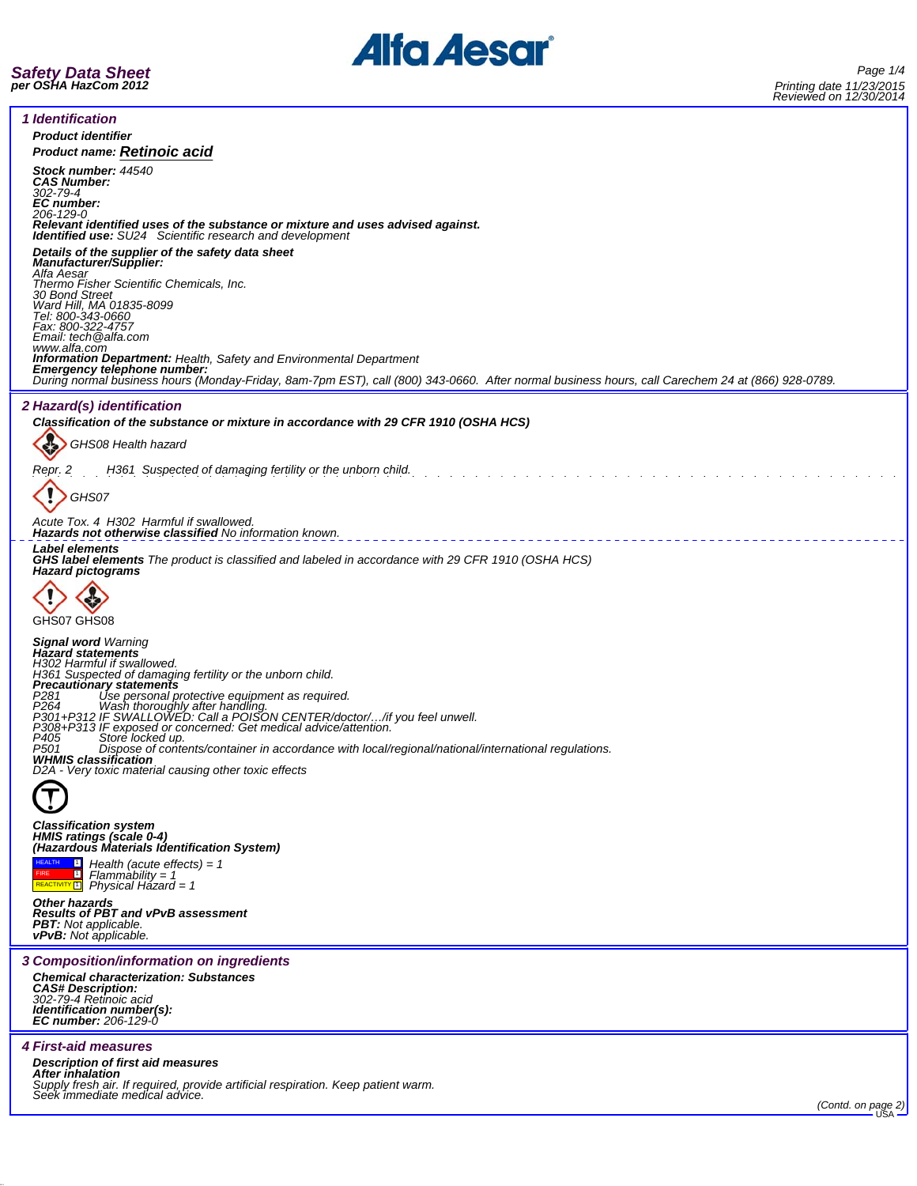



| 1 Identification                                                                                                                                                                                                                    |
|-------------------------------------------------------------------------------------------------------------------------------------------------------------------------------------------------------------------------------------|
| <b>Product identifier</b><br><b>Product name: Retinoic acid</b>                                                                                                                                                                     |
| Stock number: 44540                                                                                                                                                                                                                 |
| <b>CAS Number:</b><br>302-79-4<br><b>EC</b> number:                                                                                                                                                                                 |
| 206-129-0<br>Relevant identified uses of the substance or mixture and uses advised against.                                                                                                                                         |
| Identified use: SU24 Scientific research and development                                                                                                                                                                            |
| Details of the supplier of the safety data sheet<br>Manufacturer/Supplier:                                                                                                                                                          |
| Alfa Aesar<br>Thermo Fisher Scientific Chemicals, Inc.<br>30 Bond Street                                                                                                                                                            |
| Ward Hill, MA 01835-8099<br>Tel: 800-343-0660                                                                                                                                                                                       |
| Fax: 800-322-4757<br>Email: tech@alfa.com                                                                                                                                                                                           |
| www.alfa.com<br><b>Information Department:</b> Health, Safety and Environmental Department                                                                                                                                          |
| <b>Emergency telephone number:</b><br>During normal business hours (Monday-Friday, 8am-7pm EST), call (800) 343-0660. After normal business hours, call Carechem 24 at (866) 928-0789.                                              |
| 2 Hazard(s) identification                                                                                                                                                                                                          |
| Classification of the substance or mixture in accordance with 29 CFR 1910 (OSHA HCS)                                                                                                                                                |
| GHS08 Health hazard                                                                                                                                                                                                                 |
| H361 Suspected of damaging fertility or the unborn child.<br>Repr. 2                                                                                                                                                                |
|                                                                                                                                                                                                                                     |
| GHS07                                                                                                                                                                                                                               |
| Acute Tox. 4 H302 Harmful if swallowed.<br><b>Hazards not otherwise classified No information known.</b>                                                                                                                            |
| <b>Label elements</b><br>GHS label elements The product is classified and labeled in accordance with 29 CFR 1910 (OSHA HCS)<br><b>Hazard pictograms</b>                                                                             |
|                                                                                                                                                                                                                                     |
| GHS07 GHS08                                                                                                                                                                                                                         |
| Signal word Warning<br><b>Hazard statements</b>                                                                                                                                                                                     |
| H302 Harmful if swallowed.<br>H361 Suspected of damaging fertility or the unborn child.                                                                                                                                             |
| <b>Precautionary statements</b>                                                                                                                                                                                                     |
| P281<br>P281 Use personal protective equipment as required.<br>P264 Wash thoroughly after handling.<br>P301+P312 IF SWALLOWED: Call a POISON CENTER/doctor//if you feel unwell.<br>P308+P313 IF exposed or concerned: Get medical a |
|                                                                                                                                                                                                                                     |
| P501<br>Dispose of contents/container in accordance with local/regional/national/international regulations.<br><b>WHMIS classification</b>                                                                                          |
| D2A - Very toxic material causing other toxic effects                                                                                                                                                                               |
|                                                                                                                                                                                                                                     |
| <b>Classification system</b><br>HMIS ratings (scale 0-4)                                                                                                                                                                            |
| (Hazardous Materials Identification System)<br>$\Box$ Health (acute effects) = 1                                                                                                                                                    |
| $\blacksquare$<br>$Flammablity = 1$<br>REACTIVITY <b>Fig.</b> Physical Hazard = 1                                                                                                                                                   |
| <b>Other hazards</b>                                                                                                                                                                                                                |
| <b>Results of PBT and vPvB assessment</b><br><b>PBT:</b> Not applicable.<br><b>vPvB:</b> Not applicable.                                                                                                                            |
| 3 Composition/information on ingredients                                                                                                                                                                                            |
| <b>Chemical characterization: Substances</b><br><b>CAS# Description:</b>                                                                                                                                                            |
| 302-79-4 Retinoic acid<br>Identification number(s):                                                                                                                                                                                 |
| <b>EC number: 206-129-0</b>                                                                                                                                                                                                         |
| <b>4 First-aid measures</b>                                                                                                                                                                                                         |
| <b>Description of first aid measures</b><br>After inhalation                                                                                                                                                                        |
| Supply fresh air. If required, provide artificial respiration. Keep patient warm.<br>Seek immediate medical advice.                                                                                                                 |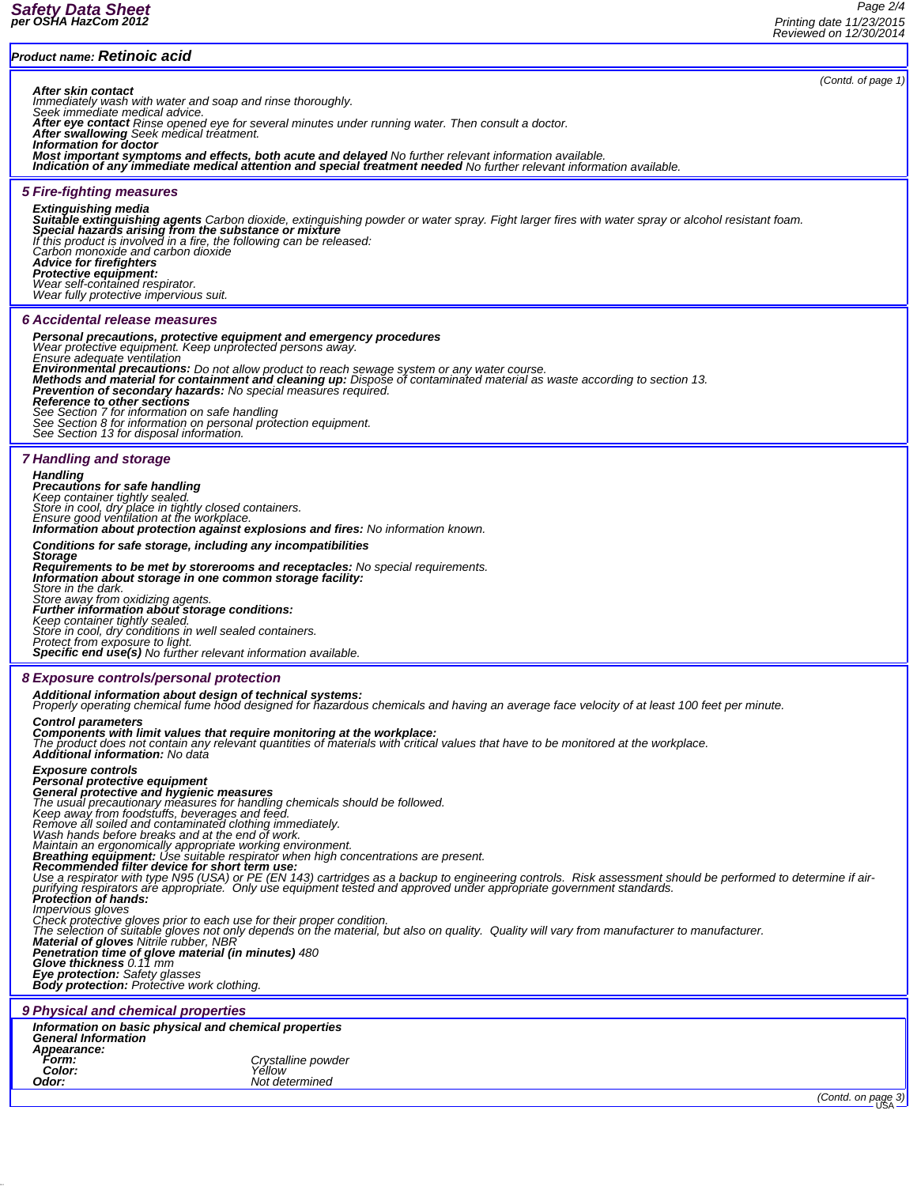*(Contd. of page 1)*

## *Product name: Retinoic acid*

**After skin contact**<br>Immediately wash with water and soap and rinse thoroughly.<br>Seek immediate medical advice.<br>After eye contact Rinse opened eye for several minutes under running water. Then consult a doctor.<br>After swallo

*Information for doctor*

Most important symptoms and effects, both acute and delayed No further relevant information available.<br>Indication of any immediate medical attention and special treatment needed No further relevant information available.

## *5 Fire-fighting measures*

**Extinguishing media**<br>**Suitable extinguishing agents** Carbon dioxide, extinguishing powder or water spray. Fight larger fires with water spray or alcohol resistant foam.<br>**Special hazards arising from the substance or mixtu** *If this product is involved in a fire, the following can be released: Carbon monoxide and carbon dioxide Advice for firefighters Protective equipment: Wear self-contained respirator. Wear fully protective impervious suit.*

### *6 Accidental release measures*

*Personal precautions, protective equipment and emergency procedures Wear protective equipment. Keep unprotected persons away. Ensure adequate ventilation* **Environmental precautions:** Do not allow product to reach sewage system or any water course.<br>**Methods and material for containment and cleaning up:** Dispose of contaminated material as waste according to section 13.<br>**Prev** *See Section 7 for information on safe handling See Section 8 for information on personal protection equipment. See Section 13 for disposal information.*

## *7 Handling and storage*

# *Handling Precautions for safe handling*

*Keep container tightly sealed. Store in cool, dry place in tightly closed containers. Ensure good ventilation at the workplace. Information about protection against explosions and fires: No information known. Conditions for safe storage, including any incompatibilities Storage Requirements to be met by storerooms and receptacles: No special requirements. Information about storage in one common storage facility: Store in the dark. Store away from oxidizing agents. Further information about storage conditions: Keep container tightly sealed. Store in cool, dry conditions in well sealed containers. Protect from exposure to light. Specific end use(s) No further relevant information available. 8 Exposure controls/personal protection*

*Additional information about design of technical systems: Properly operating chemical fume hood designed for hazardous chemicals and having an average face velocity of at least 100 feet per minute.*

## *Control parameters Components with limit values that require monitoring at the workplace:*

*The product does not contain any relevant quantities of materials with critical values that have to be monitored at the workplace. Additional information: No data*

**Exposure controls<br>Personal protective equipment<br>General protective and hygienic measures<br>The usual precautionary measures for handling chemicals should be followed.<br>Keep away from foodstuffs, beverages and feed.** 

*Remove all soiled and contaminated clothing immediately. Wash hands before breaks and at the end of work.*

Maintain an ergonomically appropriate working environment.<br>**Breathing equipment:** Use suitable respirator when high concentrations are present.<br>**Recommended filter device for short term use:** 

Use a respirator with type N95 (USA) or PE (EN 143) cartridges as a backup to engineering controls. Risk assessment should be performed to determine if air-<br>purifying respirators are appropriate. Only use equipment tested

*Impervious gloves*

Check protective gloves prior to each use for their proper condition.<br>The selection of suitable gloves not only depends on the material, but also on quality. Quality will vary from manufacturer to manufacturer.<br>**Material o** 

*Penetration time of glove material (in minutes) 480 Glove thickness 0.11 mm Eye protection: Safety glasses Body protection: Protective work clothing.*

### *9 Physical and chemical properties*

| Information on basic physical and chemical properties<br><b>General Information</b> |                    |  |
|-------------------------------------------------------------------------------------|--------------------|--|
| Appearance:                                                                         |                    |  |
| <b>Form:</b>                                                                        | Crystalline powder |  |
| Color:                                                                              | Yellow             |  |
| Odor:                                                                               | Not determined     |  |

*(Contd. on page 3)*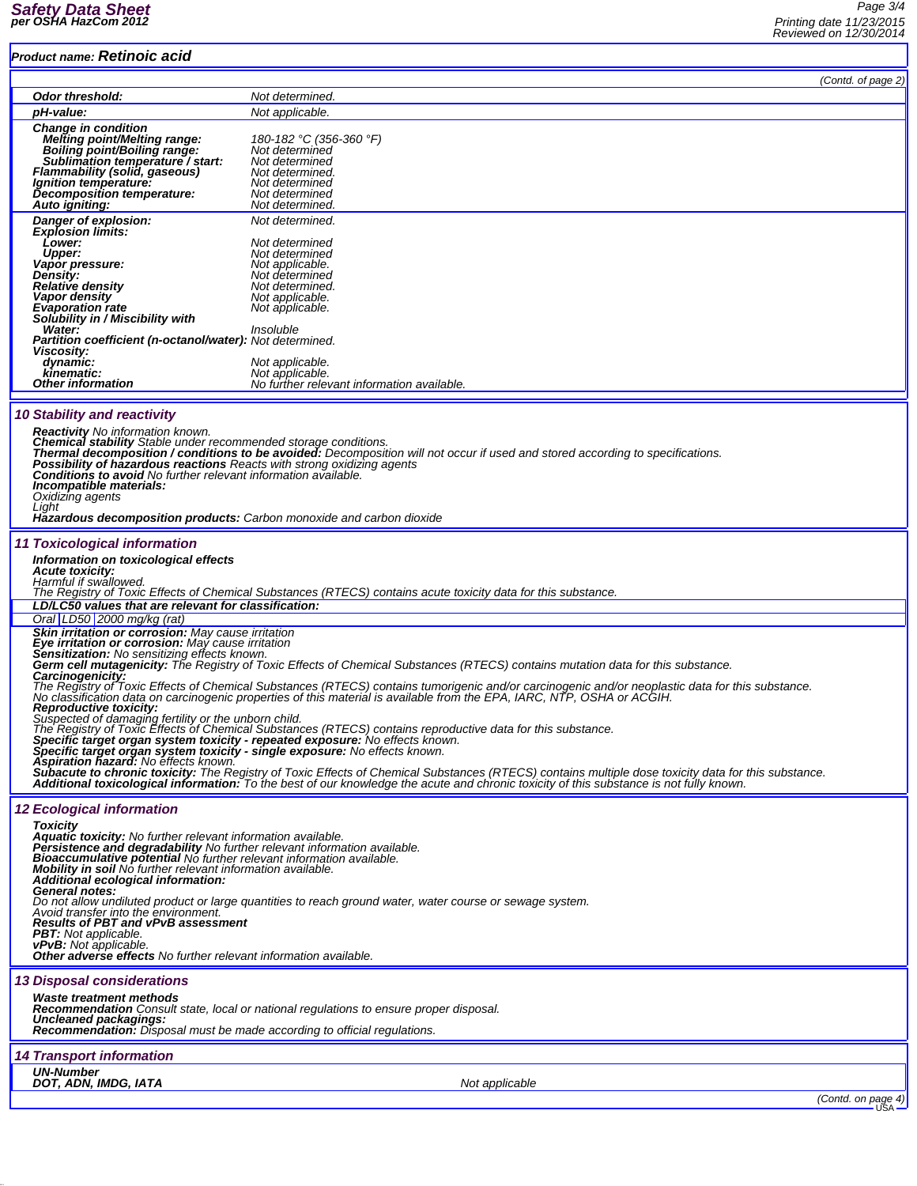*Page 3/4 Printing date 11/23/2015 Reviewed on 12/30/2014*

| <b>Product name: Retinoic acid</b>                                                                                                                      |                                                                                                                                                                                                                                   |  |  |  |  |
|---------------------------------------------------------------------------------------------------------------------------------------------------------|-----------------------------------------------------------------------------------------------------------------------------------------------------------------------------------------------------------------------------------|--|--|--|--|
|                                                                                                                                                         | (Contd. of page 2)                                                                                                                                                                                                                |  |  |  |  |
| Odor threshold:                                                                                                                                         | Not determined.                                                                                                                                                                                                                   |  |  |  |  |
| pH-value:                                                                                                                                               | Not applicable.                                                                                                                                                                                                                   |  |  |  |  |
| <b>Change in condition</b><br>Melting point/Melting range:                                                                                              | 180-182 °C (356-360 °F)                                                                                                                                                                                                           |  |  |  |  |
| Boiling point/Boiling range:                                                                                                                            | Not determined                                                                                                                                                                                                                    |  |  |  |  |
| Sublimation temperature / start:<br><b>Flammability (solid, gaseous)</b>                                                                                | Not determined<br>Not determined.                                                                                                                                                                                                 |  |  |  |  |
| <i>Ignition temperature:</i>                                                                                                                            | Not determined                                                                                                                                                                                                                    |  |  |  |  |
| Decomposition temperature:<br>Auto igniting:                                                                                                            | Not determined<br>Not determined.                                                                                                                                                                                                 |  |  |  |  |
| Danger of explosion:                                                                                                                                    | Not determined.                                                                                                                                                                                                                   |  |  |  |  |
| <b>Explosion limits:</b><br><b>Lower:</b>                                                                                                               | Not determined                                                                                                                                                                                                                    |  |  |  |  |
| <b>Upper:</b>                                                                                                                                           | Not determined                                                                                                                                                                                                                    |  |  |  |  |
| Vapor pressure:<br>Density:                                                                                                                             | Not applicable.<br>Not determined                                                                                                                                                                                                 |  |  |  |  |
| Relative density                                                                                                                                        | Not determined.                                                                                                                                                                                                                   |  |  |  |  |
| Vapor density<br><b>Evaporation rate</b>                                                                                                                | Not applicable.<br>Not applicable.                                                                                                                                                                                                |  |  |  |  |
| Solubility in / Miscibility with                                                                                                                        |                                                                                                                                                                                                                                   |  |  |  |  |
| Water:<br>Partition coefficient (n-octanol/water): Not determined.                                                                                      | Insoluble                                                                                                                                                                                                                         |  |  |  |  |
| Viscosity:                                                                                                                                              |                                                                                                                                                                                                                                   |  |  |  |  |
| dynamic:<br>kinematic:                                                                                                                                  | Not applicable.<br>Not applicable.                                                                                                                                                                                                |  |  |  |  |
| Other information                                                                                                                                       | No further relevant information available.                                                                                                                                                                                        |  |  |  |  |
|                                                                                                                                                         |                                                                                                                                                                                                                                   |  |  |  |  |
| <b>10 Stability and reactivity</b>                                                                                                                      |                                                                                                                                                                                                                                   |  |  |  |  |
| <b>Reactivity</b> No information known.<br><b>Chemical stability</b> Stable under recommended storage conditions.                                       |                                                                                                                                                                                                                                   |  |  |  |  |
|                                                                                                                                                         | Thermal decomposition / conditions to be avoided: Decomposition will not occur if used and stored according to specifications.                                                                                                    |  |  |  |  |
| Possibility of hazardous reactions Reacts with strong oxidizing agents<br><b>Conditions to avoid</b> No further relevant information available.         |                                                                                                                                                                                                                                   |  |  |  |  |
| Incompatible materials:                                                                                                                                 |                                                                                                                                                                                                                                   |  |  |  |  |
| Oxidizing agents<br>Light                                                                                                                               |                                                                                                                                                                                                                                   |  |  |  |  |
| <b>Hazardous decomposition products:</b> Carbon monoxide and carbon dioxide                                                                             |                                                                                                                                                                                                                                   |  |  |  |  |
| 11 Toxicological information                                                                                                                            |                                                                                                                                                                                                                                   |  |  |  |  |
| Information on toxicological effects                                                                                                                    |                                                                                                                                                                                                                                   |  |  |  |  |
| <b>Acute toxicity:</b>                                                                                                                                  |                                                                                                                                                                                                                                   |  |  |  |  |
| Harmful if swallowed.                                                                                                                                   | The Registry of Toxic Effects of Chemical Substances (RTECS) contains acute toxicity data for this substance.                                                                                                                     |  |  |  |  |
| LD/LC50 values that are relevant for classification:                                                                                                    |                                                                                                                                                                                                                                   |  |  |  |  |
| Oral LD50 2000 mg/kg (rat)                                                                                                                              |                                                                                                                                                                                                                                   |  |  |  |  |
| Skin irritation or corrosion: May cause irritation<br>Eye irritation or corrosion: May cause irritation<br>Sensitization: No sensitizing effects known. |                                                                                                                                                                                                                                   |  |  |  |  |
|                                                                                                                                                         | Germ cell mutagenicity: The Registry of Toxic Effects of Chemical Substances (RTECS) contains mutation data for this substance.                                                                                                   |  |  |  |  |
| Carcinogenicity:                                                                                                                                        |                                                                                                                                                                                                                                   |  |  |  |  |
|                                                                                                                                                         | The Registry of Toxic Effects of Chemical Substances (RTECS) contains tumorigenic and/or carcinogenic and/or neoplastic data for this substance.<br>No classification data on carcinogenic properties of this material is availab |  |  |  |  |
| <b>Reproductive toxicity:</b>                                                                                                                           |                                                                                                                                                                                                                                   |  |  |  |  |
| Suspected of damaging fertility or the unborn child.                                                                                                    | The Registry of Toxic Effects of Chemical Substances (RTECS) contains reproductive data for this substance.                                                                                                                       |  |  |  |  |
|                                                                                                                                                         | Specific target organ system toxicity - repeated exposure: No effects known.                                                                                                                                                      |  |  |  |  |
| Specific target organ system toxicity - single exposure: No effects known.<br>Aspiration hazard: No effects known.                                      |                                                                                                                                                                                                                                   |  |  |  |  |
|                                                                                                                                                         | Subacute to chronic toxicity: The Registry of Toxic Effects of Chemical Substances (RTECS) contains multiple dose toxicity data for this substance.                                                                               |  |  |  |  |
|                                                                                                                                                         | Additional toxicological information: To the best of our knowledge the acute and chronic toxicity of this substance is not fully known.                                                                                           |  |  |  |  |
| <b>12 Ecological information</b>                                                                                                                        |                                                                                                                                                                                                                                   |  |  |  |  |
| <b>Toxicity</b>                                                                                                                                         |                                                                                                                                                                                                                                   |  |  |  |  |
| <b>Aquatic toxicity:</b> No further relevant information available.<br>Persistence and degradability No further relevant information available.         |                                                                                                                                                                                                                                   |  |  |  |  |
| <b>Bioaccumulative potential</b> No further relevant information available.                                                                             |                                                                                                                                                                                                                                   |  |  |  |  |
| Mobility in soil No further relevant information available.<br>Additional ecological information:                                                       |                                                                                                                                                                                                                                   |  |  |  |  |
| <b>General notes:</b>                                                                                                                                   | Do not allow undiluted product or large quantities to reach ground water, water course or sewage system.                                                                                                                          |  |  |  |  |
| Avoid transfer into the environment.                                                                                                                    |                                                                                                                                                                                                                                   |  |  |  |  |
| <b>Results of PBT and vPvB assessment</b><br><b>PBT:</b> Not applicable.                                                                                |                                                                                                                                                                                                                                   |  |  |  |  |
| vPvB. Not applicable.                                                                                                                                   |                                                                                                                                                                                                                                   |  |  |  |  |
| <b>Other adverse effects</b> No further relevant information available.                                                                                 |                                                                                                                                                                                                                                   |  |  |  |  |
| <b>13 Disposal considerations</b>                                                                                                                       |                                                                                                                                                                                                                                   |  |  |  |  |
| <b>Waste treatment methods</b>                                                                                                                          |                                                                                                                                                                                                                                   |  |  |  |  |
| Uncleaned packagings:                                                                                                                                   | <b>Recommendation</b> Consult state, local or national regulations to ensure proper disposal.                                                                                                                                     |  |  |  |  |
| <b>Recommendation:</b> Disposal must be made according to official regulations.                                                                         |                                                                                                                                                                                                                                   |  |  |  |  |
| <b>14 Transport information</b>                                                                                                                         |                                                                                                                                                                                                                                   |  |  |  |  |
| <b>UN-Number</b>                                                                                                                                        |                                                                                                                                                                                                                                   |  |  |  |  |
| DOT, ADN, IMDG, IATA                                                                                                                                    | Not applicable                                                                                                                                                                                                                    |  |  |  |  |
|                                                                                                                                                         | (Contd. on page 4)                                                                                                                                                                                                                |  |  |  |  |